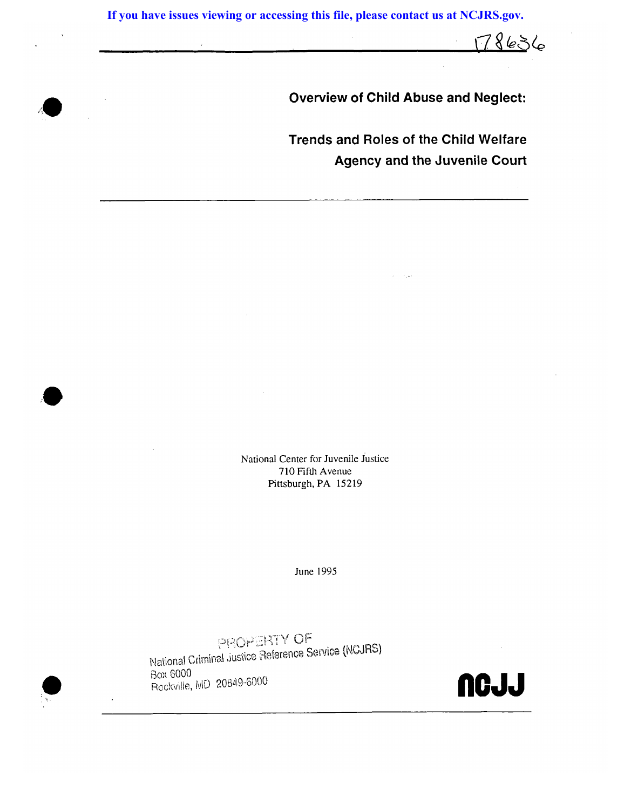**If you have issues viewing or accessing this file, please contact us at NCJRS.gov.**

**Overview of Child Abuse and Neglect:** 

178636

**Trends and Roles of the Child Welfare Agency and the Juvenile Court** 

National Center for Juvenile Justice 710 Fifth Avenue Pittsburgh, PA 15219

June 1995

PROPERTY OF<br>National Criminal ,justice Reference Service (NCJRS) Box ¢000 Rockville, MD 20849-6000 **NGJ**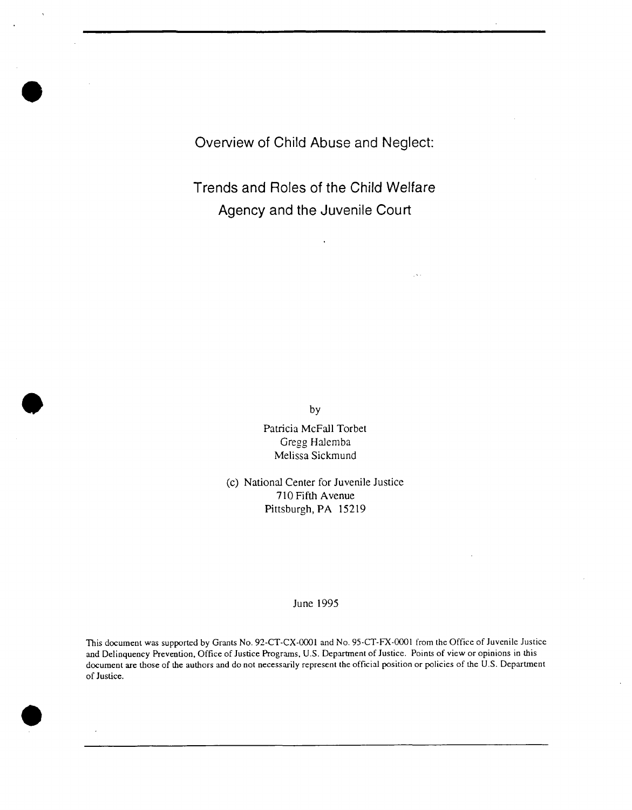**Overview of Child Abuse and Neglect:** 

**Trends and Roles of the Child Welfare Agency and the Juvenile Court** 

by

Patricia McFall Torbet Gregg Halemba Melissa Sickmund

(c) National Center for Juvenile Justice 710 Fifth Avenue Pittsburgh, PA 15219

#### June 1995

This document was supported by Grants No. 92-CT-CX-0001 and No. 95-CT-FX-0001 from the Office of Juvenile Justice and Delinquency Prevention, Office of Justice Programs, U.S. Department of Justice. Points of view or opinions in this document are those of the authors and do not necessarily represent the official position or policies of the U.S. Department of Justice.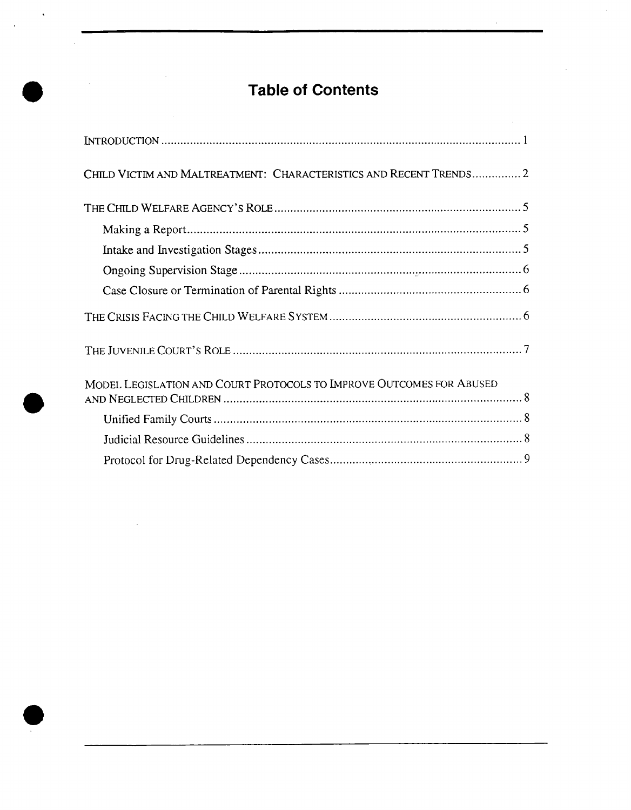# **Table of Contents**

| CHILD VICTIM AND MALTREATMENT: CHARACTERISTICS AND RECENT TRENDS2    |
|----------------------------------------------------------------------|
|                                                                      |
|                                                                      |
|                                                                      |
|                                                                      |
|                                                                      |
|                                                                      |
|                                                                      |
| MODEL LEGISLATION AND COURT PROTOCOLS TO IMPROVE OUTCOMES FOR ABUSED |
|                                                                      |
|                                                                      |
|                                                                      |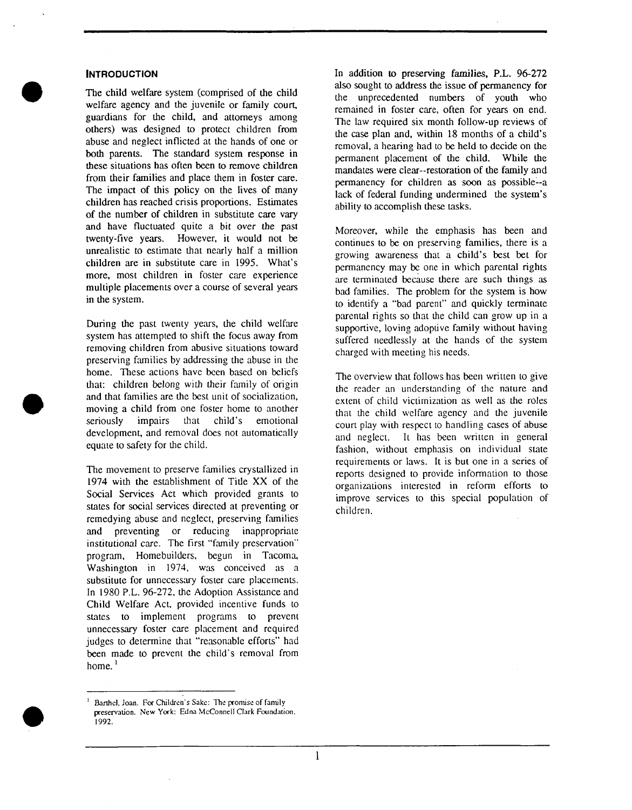#### **INTRODUCTION**

The child welfare system (comprised of the child welfare agency and the juvenile or family court, guardians for the child, and attorneys among others) was designed to protect children from abuse and neglect inflicted at the hands of one or both parents. The standard system response in these situations has often been to remove children from their families and place them in foster care. The impact of this policy on the lives of many children has reached crisis proportions. Estimates of the number of children in substitute care vary and have fluctuated quite a bit over the past twenty-five years. However, it would not be unrealistic to estimate that nearly half a million children are in substitute care in 1995. What's more, most children in foster care experience multiple placements over a course of several years in the system.

During the past twenty years, the child welfare system has attempted to shift the focus away from removing children from abusive situations toward preserving families by addressing the abuse in the home. These actions have been based on beliefs that: children belong with their family of origin and that families are the best unit of socialization, moving a child from one foster home to another seriously impairs that child's emotional development, and removal does not automatically equate to safety for the child.

The movement to preserve families crystallized in 1974 with the establishment of Title XX of the Social Services Act which provided grants to states for social services directed at preventing or remedying abuse and neglect, preserving families and preventing or reducing inappropriate institutional care. The first "family preservation" program, Homebuilders, begun in Tacoma, Washington in 1974, was conceived as a substitute for unnecessary foster care placements. In 1980 P.L. 96-272, the Adoption Assistance and Child Welfare Act, provided incentive funds to states to implement programs to prevent unnecessary foster care placement and required judges to determine that "reasonable efforts" had been made to prevent the child's removal from home.<sup>1</sup>

In addition to preserving families, P.L. 96-272 also sought to address the issue of permanency for the unprecedented numbers of youth who remained in foster care, often for years on end. The law required six month follow-up reviews of the case plan and, within 18 months of a child's removal, a hearing had to be held to decide on the permanent placement of the child. While the mandates were clear--restoration of the family and permanency for children as soon as possible--a lack of federal funding undermined the system's ability to accomplish these tasks.

Moreover, while the emphasis has been and continues to be on preserving families, there is a growing awareness that a child's best bet for permanency may be one in which parental rights are terminated because there are such things as bad families. The problem for the system is how to identify a "bad parent" and quickly terminate parental rights so that the child can grow up in a supportive, loving adoptive family without having suffered needlessly at the hands of the system charged with meeting his needs.

The overview that follows has been written to give the reader an understanding of the nature and extent of child victimization as well as the roles that the child welfare agency and the juvenile court play with respect to handling cases of abuse and neglect. It has been written in general fashion, without emphasis on individual state requirements or laws. It is but one in a series of reports designed to provide information to those organizations interested in reform efforts to improve services to this special population of children.

 $<sup>1</sup>$  Barthel, Joan. For Children's Sake: The promise of family</sup> preservation. New York: Edna McConnell Clark Foundation, 1992.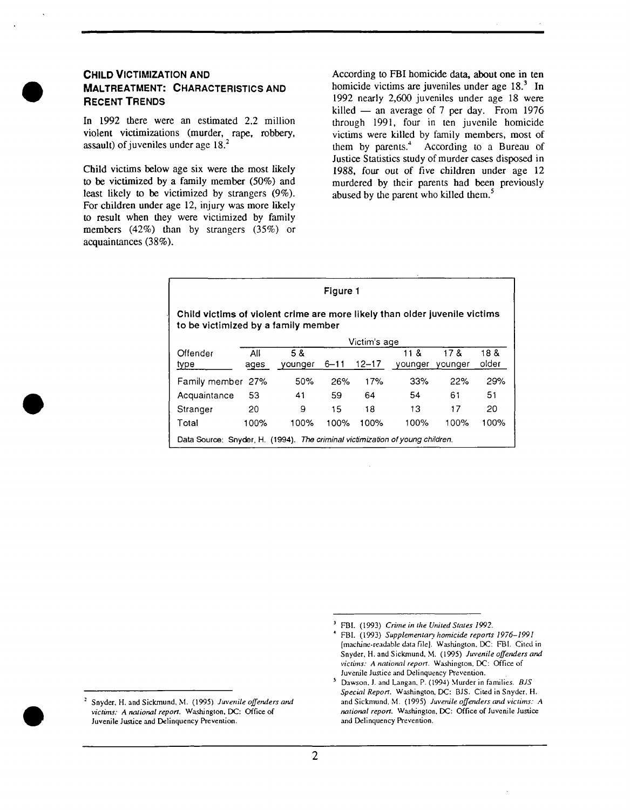

#### **CHILD VICTIMIZATION AND MALTREATMENT: CHARACTERISTICS AND RECENT TRENDS**

In 1992 there were an estimated 2.2 million violent victimizations (murder, rape, robbery, assault) of juveniles under age 18. 2

Child victims below age six were the most likely to be victimized by a family member (50%) and least likely to be victimized by strangers (9%). For children under age 12, injury was more likely to result when they were victimized by family members (42%) than by strangers (35%) or acquaintances (38%).

According to FBI homicide data, about one in ten homicide victims are juveniles under age  $18<sup>3</sup>$  In 1992 nearly 2,600 juveniles under age 18 were killed  $-$  an average of 7 per day. From 1976 through 1991, four in ten juvenile homicide victims were killed by family members, most of them by parents.<sup>4</sup> According to a Bureau of Justice Statistics study of murder cases disposed in 1988, four out of five children under age 12 murdered by their parents had been previously abused by the parent who killed them.<sup>5</sup>

| Figure 1                                                                                                          |              |                |          |           |                 |                |               |  |
|-------------------------------------------------------------------------------------------------------------------|--------------|----------------|----------|-----------|-----------------|----------------|---------------|--|
| Child victims of violent crime are more likely than older juvenile victims<br>to be victimized by a family member |              |                |          |           |                 |                |               |  |
|                                                                                                                   | Victim's age |                |          |           |                 |                |               |  |
| Offender<br>type                                                                                                  | All<br>ages  | 5 &<br>younger | $6 - 11$ | $12 - 17$ | 11 &<br>vounger | 178<br>vounger | 18 &<br>older |  |
| Family member 27%                                                                                                 |              | 50%            | 26%      | 17%       | 33%             | 22%            | 29%           |  |
| Acquaintance                                                                                                      | 53           | 41             | 59       | 64        | 54              | 61             | 51            |  |
| Stranger                                                                                                          | 20           | 9              | 15       | 18        | 13              | 17             | 20            |  |
| Total                                                                                                             | 100%         | 100%           | 100%     | 100%      | 100%            | 100%           | 100%          |  |
| Data Source: Snyder, H. (1994). The criminal victimization of young children.                                     |              |                |          |           |                 |                |               |  |

Snyder, H. and Sickmund, M. (1995) *Juvenile offenders and victims: A national report.* Washington. DC: Office of Juvenile Justice and Delinquency Prevention.

FBI. (1993) *Crime in the United States 1992*.

<sup>4</sup> FBI. (1993) *Supplementary homicide reports 1976-1991*  [machine-readable data file]. Washington. DC: FBI. Cited in Snyder, H. and Sickmund, M. (1995) Juvenile offenders and *victbns: A national report.* Washington. DC: Office of Juvenile Justice and Delinquency Prevention.

Dawson. J. and Langan, P. (1994) Murder in families. *BJS Special Report.* Washington. DC: BJS. Cited in Snyder. H. and Sickmund, M. (1995) Juvenile offenders and victims: A *national report.* Washington, DC: Office of Juvenile Justice and Delinquency Prevention.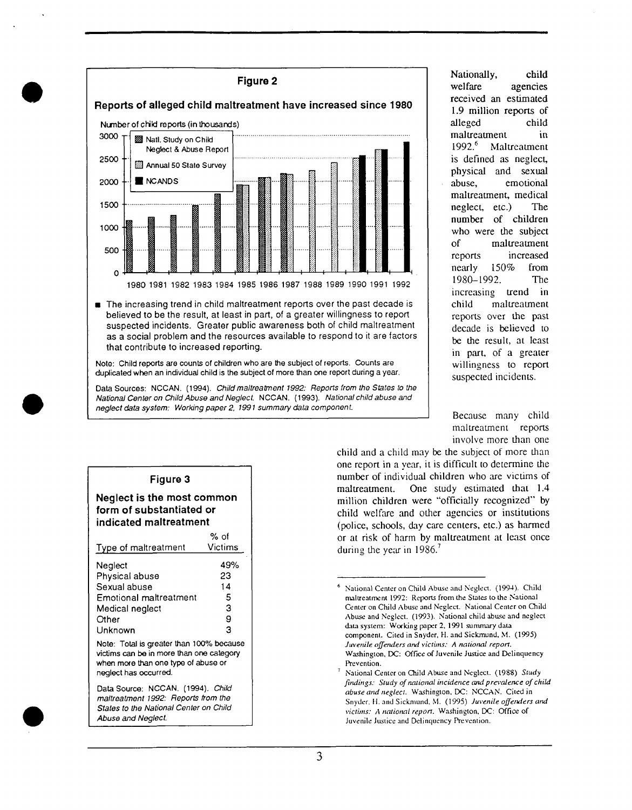

**•** The increasing trend in child maltreatment reports over the past decade is believed to be the result, at least in part, of a greater willingness to report suspected incidents. Greater public awareness both of child maltreatment as a social problem and the resources available to respond to it are factors that contribute to increased reporting.

**Note:** Child reports are counts of children who are the subject of reports. Counts are duplicated when an individual child is the subject of more than one report during a year.

Data Sources: NCCAN. (1994). *Child maltreatment 1992: Reports from the States to the National Center on Child Abuse and Neglect.* NCCAN. (1993). *National child abuse and neglect data system: Working paper 2, t991 summary data component.* 

## **Figure 3**

**Neglect is the most common form of substantiated or indicated maltreatment** 

|                                                                                                                                                      | % of    |  |  |  |  |
|------------------------------------------------------------------------------------------------------------------------------------------------------|---------|--|--|--|--|
| Type of maltreatment                                                                                                                                 | Victims |  |  |  |  |
| Neglect                                                                                                                                              | 49%     |  |  |  |  |
| Physical abuse                                                                                                                                       | 23      |  |  |  |  |
| Sexual abuse                                                                                                                                         | 14      |  |  |  |  |
| <b>Emotional maltreatment</b>                                                                                                                        | 5       |  |  |  |  |
| Medical neglect                                                                                                                                      | З       |  |  |  |  |
| Other                                                                                                                                                | 9       |  |  |  |  |
| Unknown                                                                                                                                              | 3       |  |  |  |  |
| Note: Total is greater than 100% because<br>victims can be in more than one category<br>when more than one type of abuse or<br>neglect has occurred. |         |  |  |  |  |
| Data Source: NCCAN. (1994). Child<br>maltreatment 1992: Reports from the<br>States to the National Center on Child                                   |         |  |  |  |  |

*Abuse and Neglect.* 

Nationally, child welfare agencies received an estimated 1.9 million reports of alleged child maltreatment in 1992.<sup>6</sup> Maltreatment is defined as neglect, physical and sexual abuse, emotional maltreatment, medical neglect, etc.) The number of children who were the subject of maltreatment reports increased nearly 150% from 1980-1992. The increasing trend in child maltreatment reports over the past decade is believed to be the result, at least in part, of a greater willingness to report suspected incidents.

Because many child maltreatment reports involve more than one

child and a child may be the subject of more than one report in a year, it is difficult to determine the number of individual children who are victims of maltreatment. One study estimated that 1.4 million children were "officially recognized" by child welfare and other agencies or institutions (police, schools, day care centers, etc.) as harmed or at risk of harm by maltreatment at least once during the year in  $1986$ .

National Center on Child Abuse and Neglect. (1994). Child maltreatment 1992: Reports from the States to the National Center on Child Abuse and Neglect. National Center on Child Abuse and Neglect. (1993). National child abuse and neglect data system: Working paper 2, 1991 summary data component. Cited in Snyder, H. and Sickmund, M. (1995) *Juvenile offeruters and victims." A national report.*  Washington, DC: Office of Juvenile Justice and Delinquency Prevention.

National Center on Child Abuse and Neglect. (1988) *Study findings: Study of national incidence and prevalence of child abuse and neglect.* Washington, DC: NCCAN. Cited in Snyder, H. and Sickmund. M. (1995) *Juvenile offerulers avut victbns: A national report.* Washington, DC: Office of Juvenile Justice and Delinquency Prevention.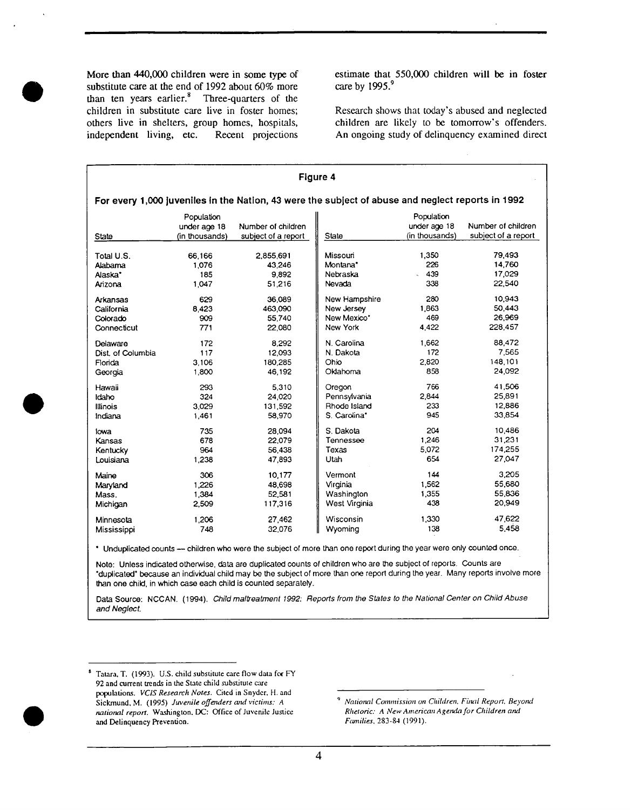More than 440,000 children were in some type of substitute care at the end of 1992 about 60% more than ten years earlier. $8$  Three-quarters of the children in substitute care live in foster homes; others live in shelters, group homes, hospitals, independent living, etc. Recent projections

estimate that 550,000 children will be in foster care by 1995.<sup>9</sup>

Research shows that today's abused and neglected children are likely to be tomorrow's offenders. An ongoing study of delinquency examined direct

| <b>Figure 4</b>   |                                              |                                                                                                   |               |                                              |                                           |
|-------------------|----------------------------------------------|---------------------------------------------------------------------------------------------------|---------------|----------------------------------------------|-------------------------------------------|
|                   |                                              | For every 1,000 juveniles in the Nation, 43 were the subject of abuse and neglect reports in 1992 |               |                                              |                                           |
| State             | Population<br>under age 18<br>(in thousands) | Number of children<br>subject of a report                                                         | State         | Population<br>under age 18<br>(in thousands) | Number of children<br>subject of a report |
| Total U.S.        | 66,166                                       | 2,855,691                                                                                         | Missouri      | 1.350                                        |                                           |
| Alabama           | 1,076                                        | 43.246                                                                                            | Montana*      | 226                                          |                                           |
| Alaska*           | 185                                          | 9.892                                                                                             | Nebraska      | 439                                          |                                           |
| Arizona           | 1,047                                        | 51.216                                                                                            | Nevada        | 338                                          |                                           |
| Arkansas          | 629                                          | 36,089                                                                                            | New Hampshire | 280                                          |                                           |
| California        | 8.423                                        | 463,090                                                                                           | New Jersey    | 1,863                                        |                                           |
| Colorado          | 909                                          | 55.740                                                                                            | New Mexico*   | 469                                          |                                           |
| Connecticut       | 771                                          | 22,080                                                                                            | New York      | 4.422                                        |                                           |
| Delaware          | 172                                          | 8.292                                                                                             | N. Carolina   | 1.662                                        |                                           |
| Dist. of Columbia | 117                                          | 12,093                                                                                            | N. Dakota     | 172                                          |                                           |
| Florida           | 3.106                                        | 180,285                                                                                           | Ohio          | 2,820                                        |                                           |
| Georgia           | 1.800                                        | 46.192                                                                                            | Oklahoma      | 858                                          |                                           |
| Hawaii            | 293                                          | 5.310                                                                                             | Oregon        | 766                                          |                                           |
| Idaho             | 324                                          | 24.020                                                                                            | Pennsylvania  | 2.844                                        |                                           |
| Illinois          | 3.029                                        | 131,592                                                                                           | Rhode Island  | 233                                          |                                           |
| Indiana           | 1,461                                        | 58,970                                                                                            | S. Carolina*  | 945                                          |                                           |
| lowa              | 735                                          | 28,094                                                                                            | S. Dakota     | 204                                          |                                           |
| Kansas            | 678                                          | 22,079                                                                                            | Tennessee     | 1,246                                        |                                           |
| Kentucky          | 964                                          | 56,438                                                                                            | Texas         | 5,072                                        |                                           |
| Louisiana         | 1,238                                        | 47,893                                                                                            | Utah          | 654                                          |                                           |
| Maine             | 306                                          | 10,177                                                                                            | Vermont       | 144                                          |                                           |
| Maryland          | 1.226                                        | 48,698                                                                                            | Virginia      | 1,562                                        |                                           |
| Mass.             | 1,384                                        | 52,581                                                                                            | Washington    | 1,355                                        |                                           |
| Michigan          | 2,509                                        | 117,316                                                                                           | West Virginia | 438                                          |                                           |
| Minnesota         | 1.206                                        | 27.462                                                                                            | Wisconsin     | 1.330                                        |                                           |
| Mississippi       | 748                                          | 32,076                                                                                            | Wyoming       | 138                                          |                                           |

• Unduplicated counts — children who were the subject of more than one report during the year were only counted once.

Note: Unless indicated otherwise, data are duplicated counts of children who are the subject of reports. Counts are "duplicated" because an individual child may be the subject of more than one report during the year. Many reports involve more than one child, in which case each child is counted separately.

Data Source: NCCAN. (1994). *Child maltreatment 1992: Reports from the States to the National Center on Child Abuse and Neglect.* 

s Tatara, T. (1993). U.S. child substitute care flow data for F'Y 92 and current trends in the State child substitute care populations. *VCIS Research Notes.* Cited in Snyder. H. and Sickmund, M. (1995) *Juvenile offenders and victims: A national report.* Washington. DC: Office of Juvenile Justice and Delinquency Prevention.

*National Commission on Children, Final Report, Beyond Rhetoric." A New American Agenda for Children anti F~gnilies,* 283-84 (1991).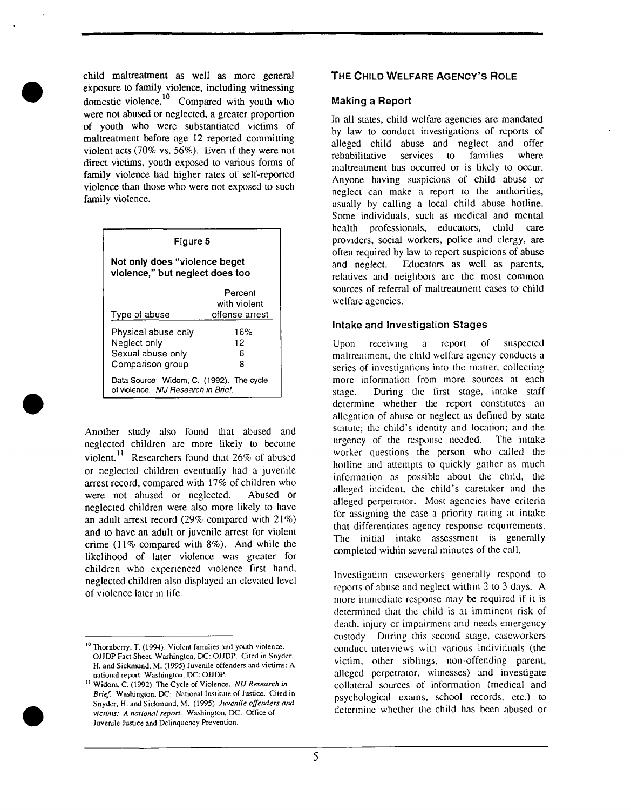child maltreatment as well as more general exposure to family violence, including witnessing domestic violence.<sup>10</sup> Compared with youth who were not abused or neglected, a greater proportion of youth who were substantiated victims of maltreatment before age 12 reported committing violent acts (70% vs. 56%). Even if they were not direct victims, youth exposed to various forms of family violence had higher rates of self-reported violence than those who were not exposed to such family violence.

| Figure 5                                                                        |                                           |  |  |  |  |
|---------------------------------------------------------------------------------|-------------------------------------------|--|--|--|--|
| Not only does "violence beget<br>violence," but neglect does too                |                                           |  |  |  |  |
| Type of abuse                                                                   | Percent<br>with violent<br>offense arrest |  |  |  |  |
| Physical abuse only<br>Neglect only<br>Sexual abuse only<br>Comparison group    | 16%<br>12<br>6<br>8                       |  |  |  |  |
| Data Source: Widom, C. (1992). The cycle<br>of violence. NIJ Research in Brief. |                                           |  |  |  |  |

Another study also found that abused and neglected children are more likely to become violent.<sup>11</sup> Researchers found that  $26\%$  of abused or neglected children eventually had a juvenile arrest record, compared with 17% of children who were not abused or neglected. Abused or neglected children were also more likely to have an adult arrest record (29% compared with 21%) and to have an adult or juvenile arrest for violent crime (11% compared with 8%). And while the likelihood of later violence was greater for children who experienced violence first hand, neglected children also displayed an elevated level of violence later in life.

## **THE CHILD WELFARE AGENCY'S ROLE**

#### **Making a Report**

In all states, child welfare agencies are mandated by law to conduct investigations of reports of alleged child abuse and neglect and offer rehabilitative services to families where maltreatment has occurred or is likely to occur. Anyone having suspicions of child abuse or neglect can make a report to the authorities, usually by calling a local child abuse hotline. Some individuals, such as medical and mental health professionals, educators, child care providers, social workers, police and clergy, are often required by law to report suspicions of abuse and neglect. Educators as well as parents, relatives and neighbors are the most common sources of referral of maltreatment cases to child welfare agencies.

#### **Intake and Investigation Stages**

Upon receiving a report of suspected maltreatment, the child welfare agency conducts a series of investigations into the matter, collecting more information from more sources at each stage. During the first stage, intake staff determine whether the report constitutes an allegation of abuse or neglect as defined by state statute; the child's identity and location; and the urgency of the response needed. The intake worker questions the person who called the hotline and attempts to quickly gather as much information as possible about the child, the alleged incident, the child's caretaker and the alleged perpetrator. Most agencies have criteria for assigning the case a priority rating at intake that differentiates agency response requirements. The initial intake assessment is generally completed within several minutes of the call.

Investigation caseworkers generally respond to reports of abuse and neglect within 2 to 3 days. A more immediate response may be required if it is determined that the child is at imminent risk of death, injury or impairment and needs emergency custody. During this second stage, caseworkers conduct interviews with various individuals (the victim, other siblings, non-offending parent, alleged perpetrator, witnesses) and investigate collateral sources of information (medical and psychological exams, school records, etc.) to determine whether the child has been abused or



<sup>&</sup>lt;sup>10</sup> Thornberry, T. (1994). Violent families and youth violence. OJJDP Fact Sheet. Washington, DC: OJJDP. Cited in Snyder, H. and Sickmund, M. (1995) Juvenile offenders and victims: A national report. Washington, DC: OJJDP.

n Widom, C. (1992) The Cycle of Violence. *NIJ Research in Brief.* Washington, DC: National Institute of Justice. Cited in Snyder, H. and Sickmund, M. (1995) *Juvenile offeruters arul*  victims: A national report. Washington, DC: Office of Juvenile Justice and Delinquency Prevention.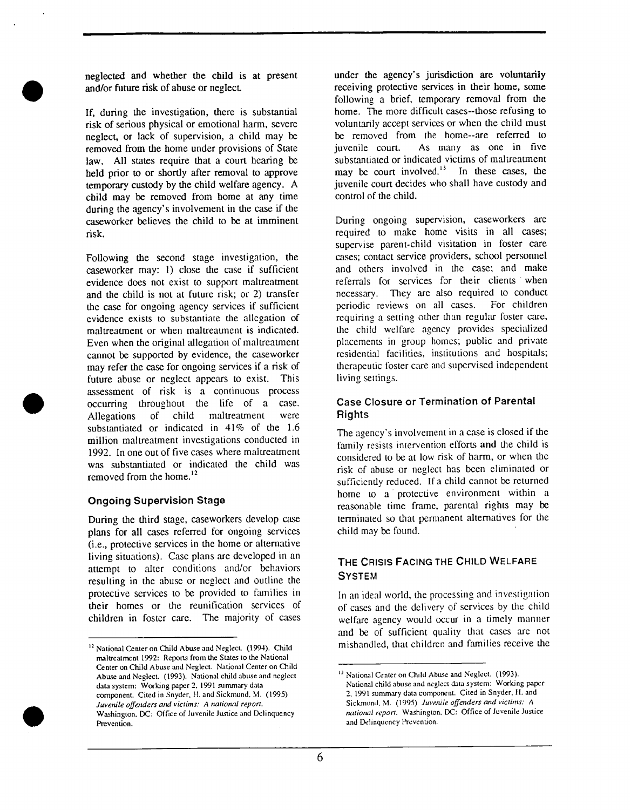neglected and whether the child is at present and/or future risk of abuse or neglect.

If, during the investigation, there is substantial risk of serious physical or emotional harm, severe neglect, or lack of supervision, a child may be removed from the home under provisions of State law. All states require that a court hearing be held prior to or shortly after removal to approve temporary custody by the child welfare agency. A child may be removed from home at any time during the agency's involvement in the case if the caseworker believes the child to be at imminent risk.

Following the second stage investigation, the caseworker may: 1) close the case if sufficient evidence does not exist to support maltreatment and the child is not at future risk; or 2) transfer the case for ongoing agency services if sufficient evidence exists to substantiate the allegation of maltreatment or when maltreatment is indicated. Even when the original allegation of maltreatment cannot be supported by evidence, the caseworker may refer the case for ongoing services if a risk of future abuse or neglect appears to exist. This assessment of risk is a continuous process occurring throughout the life of a case. Allegations of child maltreatment were substantiated or indicated in 41% of the 1.6 million maltreatment investigations conducted in 1992. In one out of five cases where maltreatment was substantiated or indicated the child was removed from the home. $^{12}$ 

#### **Ongoing Supervision Stage**

During the third stage, caseworkers develop case plans for all cases referred for ongoing services (i.e., protective services in the home or altenmtive living situations). Case plans are developed in an attempt to alter conditions and/or behaviors resulting in the abuse or neglect and outline the protective services to be provided to families in their homes or the reunification services of children in foster care. The majority of cases under the agency's jurisdiction are voluntarily receiving protective services in their home, some following a brief, temporary removal from the home. The more difficult cases--those refusing to voluntarily accept services or when the child must be removed from the home--are referred to juvenile court. As many as one in five substantiated or indicated victims of maltreatment may be court involved. $13$  In these cases, the juvenile court decides who shall have custody and control of the child.

During ongoing supervision, caseworkers are required to make home visits in all cases; supervise parent-child visitation in foster care cases; contact service providers, school personnel and others involved in the case; and make referrals for services for their clients when necessary. They are also required to conduct periodic reviews on all cases. For children requiring a setting other than regular foster care, the child welfare agency provides specialized placements in group homes; public and private residential facilities, institutions and hospitals; therapeutic foster care and supervised independent living settings.

# **Case Closure or Termination of Parental Rights**

The agency's involvement in a case is closed if the family resists intervention efforts and the child is considered to be at low risk of harm, or when the risk of abuse or neglect has been eliminated or sufficiently reduced. If a child cannot be returned home to a protective environment within a reasonable time frame, parental fights may be terminated so that permanent alternatives for the child may be found.

# **THE CRISIS FACING THE CHILD WELFARE SYSTEM**

In an ideal world, the processing and investigation of cases and the delivery, of services by the child welfare agency would occur in a timely manner and be of sufficient quality that cases are not mishandled, that children and families receive the

<sup>&</sup>lt;sup>13</sup> National Center on Child Abuse and Neglect. (1993). National child abuse and neglect data system: Working paper 2, 1991 summary data component. Cited in Snyder, H. and Sickmund. M. (1995) Juvenile offenders and victims: A *national report.* Washington, DC: Office of Juvenile Justice and Delinquency Prevention.



<sup>&</sup>lt;sup>12</sup> National Center on Child Abuse and Neglect. (1994). Child maltreatment 1992: Reports from the States to the National Center on Child Abuse and Neglect. National Center on Child Abuse and Neglect. (1993). National child abuse and neglect data system: Working paper 2. 1991 summary data component. Cited in Snyder, H. and Sickmund, M. (1995) *Juvenile offenders and victims: A national report.* Washington. DC: Office of Juvenile Justice and Delinquency **Prevention**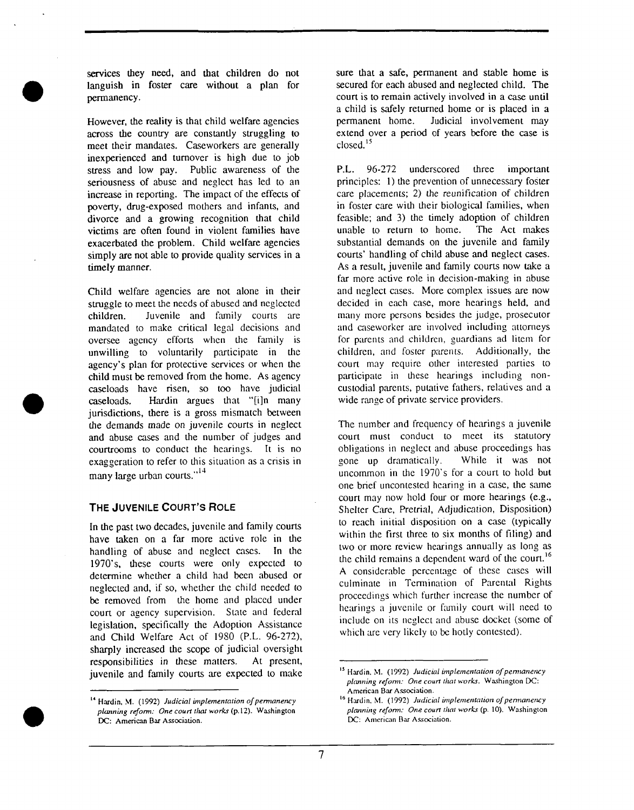services they need, and that children do not languish in foster care without a plan for permanency.

However, the reality is that child welfare agencies across the country are constantly struggling to meet their mandates. Caseworkers are generally inexperienced and turnover is high due to job stress and low pay. Public awareness of the seriousness of abuse and neglect has led to an increase in reporting. The impact of the effects of poverty, drug-exposed mothers and infants, and divorce and a growing recognition that child victims are often found in violent families have exacerbated the problem. Child welfare agencies simply are not able to provide quality services in a timely manner.

Child welfare agencies are not alone in their struggle to meet the needs of abused and neglected children. Juvenile and family courts are mandated to make critical legal decisions and oversee agency efforts when the family is unwilling to voluntarily participate in the agency's plan for protective services or when the child must be removed from the home. As agency caseloads have risen, so too have judicial caseloads. Hardin argues that "[i]n many jurisdictions, there is a gross mismatch between the demands made on juvenile courts in neglect and abuse cases and the number of judges and courtrooms to conduct the hearings. It is no exaggeration to refer to this situation as a crisis in many large urban courts."<sup>14</sup>

#### **THE JUVENILE COURT'S ROLE**

In the past two decades, juvenile and family courts have taken on a far more active role in the handling of abuse and neglect cases. In the 1970's, these courts were only expected to determine whether a child had been abused or neglected and, if so, whether the child needed to be removed from the home and placed under court or agency supervision. State and federal legislation, specifically the Adoption Assistance and Child Welfare Act of 1980 (P.L. 96-272), sharply increased the scope of judicial oversight responsibilities in these matters. At present, juvenile and family courts are expected to make

sure that a safe, permanent and stable home is secured for each abused and neglected child. The court is to remain actively involved in a case until a child is safely returned home or is placed in a permanent home. Judicial involvement may extend over a period of years before the case is closed.<sup>15</sup>

**P.L.** 96-272 underscored three important principles: 1) the prevention of unnecessary foster care placements; 2) the reunification of children in foster care with their biological families, when feasible; and 3) the timely adoption of children unable to return to home. The Act makes substantial demands on the juvenile and family courts' handling of child abuse and neglect cases. As a result, juvenile and family courts now take a far more active role in decision-making in abuse and neglect cases. More complex issues are now decided in each case, more hearings held, and many more persons besides the judge, prosecutor and caseworker are involved including attorneys for parents and children, guardians ad litem for children, and foster parents. Additionally, the court may require other interested parties to participate in these hearings including noncustodial parents, putative fathers, relatives and a wide range of private service providers.

The number and frequency of hearings a juvenile court must conduct to meet its statutory obligations in neglect and abuse proceedings has gone up dramatically. While it was not uncommon in the  $1970$ 's for a court to hold but one brief uncontested hearing in a case, the same court may now hold four or more hearings (e.g., Shelter Care, Pretrial, Adjudication, Disposition) to reach initial disposition on a case (typically within the first three to six months of filing) and two or more review hearings annually as long as the child remains a dependent ward of the court.<sup>16</sup> A considerable percentage of these cases will cuhninate in Termination of Parental Rights proceedings which further increase the number of hearings a juvenile or family court will need to include on its neglect and abuse docket (some of which are very likely to be hotly contested).

<sup>&</sup>lt;sup>16</sup> Hardin, M. (1992) *Judicial implementation of permanency planning reform: One court that work.s (p.* 10). Washington DC: American Bar Association.



<sup>&</sup>lt;sup>14</sup> Hardin, M. (1992) *Judicial implementation of permanency planning reform: One court that works* (p.12). Washington DC: American Bar Association.

<sup>&</sup>lt;sup>15</sup> Hardin, M. (1992) *Judicial implementation of permanency planning reform: One court that works.* Washington DC: American Bar Association.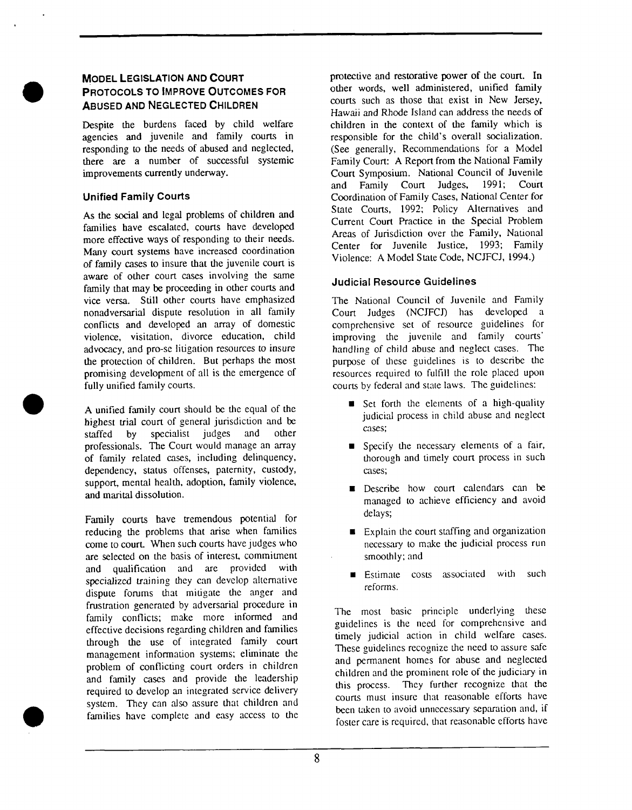## **MODEL LEGISLATION AND COURT PROTOCOLS TO IMPROVE OUTCOMES FOR ABUSED AND NEGLECTED CHILDREN**

Despite the burdens faced by child welfare agencies and juvenile and family courts in responding to the needs of abused and neglected, there are a number of successful systemic improvements currently underway.

# **Unified Family Courts**

As the social and legal problems of children and families have escalated, courts have developed more effective ways of responding to their needs. Many court systems have increased coordination of family cases to insure that the juvenile court is aware of other court cases involving the same family that may be proceeding in other courts and vice versa. Still other courts have emphasized nonadversarial dispute resolution in all family conflicts and developed an array of domestic violence, visitation, divorce education, child advocacy, and pro-se litigation resources to insure the protection of children. But perhaps the most promising development of all is the emergence of fully unified family courts.

A unified family court should be the equal of the highest trial court of general jurisdiction and be staffed by specialist judges and other professionals. The Court would manage an array of family related cases, including delinquency, dependency, status offenses, paternity, custody, support, mental health, adoption, family violence, and marital dissolution.

Family courts have tremendous potential for reducing the problems that arise when families come to court. When such courts have judges who are selected on the basis of interest, commitment and qualification and are provided with specialized training they can develop alternative dispute forums that mitigate the anger and frustration generated by adversarial procedure in family conflicts; make more informed and effective decisions regarding children and families through the use of integrated family court management information systems; eliminate the problem of conflicting court orders in children and family cases and provide the leadership required to develop an integrated service delivery system. They can also assure that children and families have complete and easy access to the

protective and restorative power of the court. In other words, well administered, unified family courts such as those that exist in New Jersey, Hawaii and Rhode Island can address the needs of children in the context of the family which is responsible for the child's overall socialization. (See generally, Recommendations for a Model Family Court: A Report from the National Family Court Symposium. National Council of Juvenile and Family Court Judges, 1991; Court Coordination of Family Cases, National Center for State Courts, 1992; Policy Alternatives and Current Court Practice in the Special Problem Areas of Jurisdiction over the Family, National Center for Juvenile Justice, 1993; Family Violence: A Model State Code, NCJFCJ, 1994.)

# **Judicial Resource Guidelines**

The National Council of Juvenile and Family Court Judges (NCJFCJ) has developed a comprehensive set of resource guidelines for improving the juvenile and family courts' handling of child abuse and neglect cases. The purpose of these guidelines is to describe the resources required to fulfill the role placed upon courts by federal and state laws. The guidelines:

- **•** Set forth the elements of a high-quality judicial process in child abuse and neglect cases;
- **•** Specify the necessary elements of a fair, thorough and timely court process in such cases;
- **Describe how court calendars can be** managed to achieve efficiency and avoid delays;
- $\blacksquare$  Explain the court staffing and organization necessary to make the judicial process run smoothly; and
- Estimate costs associated with such reforms.

The most basic principle underlying these guidelines is the need for comprehensive and timely judicial action in child welfare cases. These guidelines recognize the need to assure safe and permanent homes for abuse and neglected children and the prominent role of the judiciary in this process. They further recognize that the courts must insure that reasonable efforts have been taken to avoid unnecessary separation and, if foster care is required, that reasonable efforts have